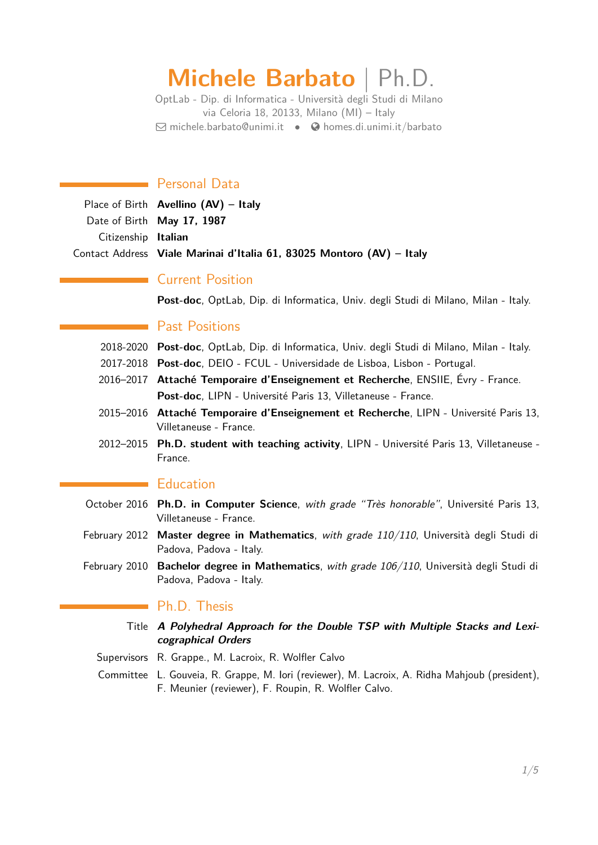# **Michele Barbato** | Ph.D.

OptLab - Dip. di Informatica - Università degli Studi di Milano via Celoria 18, 20133, Milano (MI) – Italy  $\boxdot$  [michele.barbato@unimi.it](mailto:michele.barbato@unimi.it) •  $\bigcirc$  [homes.di.unimi.it/barbato](http://homes.di.unimi.it/barbato)

# Personal Data

|                     | Place of Birth <b>Avellino</b> $(AV)$ – Italy                         |
|---------------------|-----------------------------------------------------------------------|
|                     | Date of Birth May 17, 1987                                            |
| Citizenship Italian |                                                                       |
|                     | Contact Address Viale Marinai d'Italia 61, 83025 Montoro (AV) – Italy |

# Current Position

**Post-doc**, OptLab, Dip. di Informatica, Univ. degli Studi di Milano, Milan - Italy.

# Past Positions

- 2018-2020 **Post-doc**, OptLab, Dip. di Informatica, Univ. degli Studi di Milano, Milan Italy.
- 2017-2018 **Post-doc**, DEIO FCUL Universidade de Lisboa, Lisbon Portugal.
- 2016–2017 **Attaché Temporaire d'Enseignement et Recherche**, ENSIIE, Évry France. **Post-doc**, LIPN - Université Paris 13, Villetaneuse - France.
- 2015–2016 **Attaché Temporaire d'Enseignement et Recherche**, LIPN Université Paris 13, Villetaneuse - France.
- 2012–2015 **Ph.D. student with teaching activity**, LIPN Université Paris 13, Villetaneuse France.

### **Education**

- October 2016 **Ph.D. in Computer Science**, with grade "Très honorable", Université Paris 13, Villetaneuse - France.
- February 2012 **Master degree in Mathematics**, with grade 110/110, Università degli Studi di Padova, Padova - Italy.
- February 2010 **Bachelor degree in Mathematics**, with grade 106/110, Università degli Studi di Padova, Padova - Italy.

### **Ph.D. Thesis**

- Title **A Polyhedral Approach for the Double TSP with Multiple Stacks and Lexicographical Orders**
- Supervisors R. Grappe., M. Lacroix, R. Wolfler Calvo
- Committee L. Gouveia, R. Grappe, M. Iori (reviewer), M. Lacroix, A. Ridha Mahjoub (president), F. Meunier (reviewer), F. Roupin, R. Wolfler Calvo.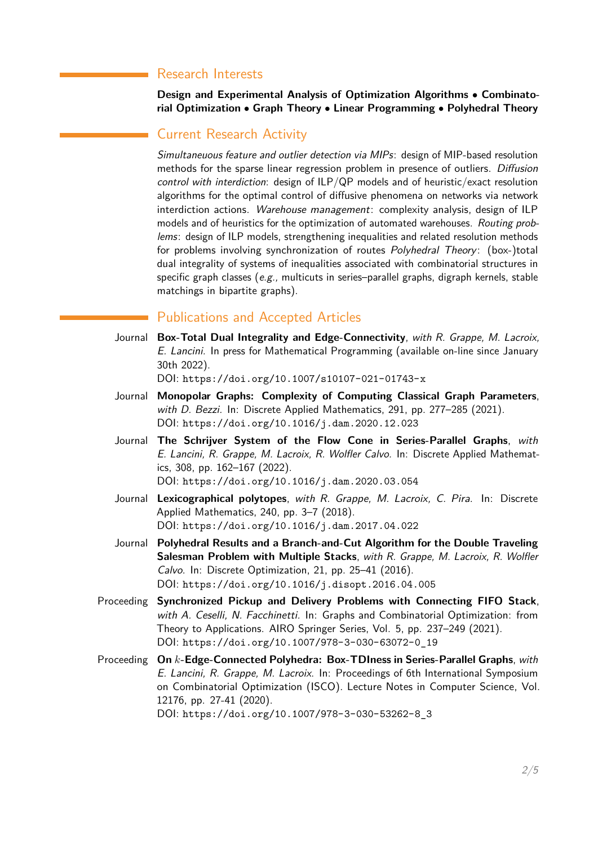# Research Interests

**Design and Experimental Analysis of Optimization Algorithms** • **Combinatorial Optimization** • **Graph Theory** • **Linear Programming** • **Polyhedral Theory**

## Current Research Activity

Simultaneuous feature and outlier detection via MIPs: design of MIP-based resolution methods for the sparse linear regression problem in presence of outliers. Diffusion control with interdiction: design of ILP/QP models and of heuristic/exact resolution algorithms for the optimal control of diffusive phenomena on networks via network interdiction actions. Warehouse management: complexity analysis, design of ILP models and of heuristics for the optimization of automated warehouses. Routing problems: design of ILP models, strengthening inequalities and related resolution methods for problems involving synchronization of routes Polyhedral Theory: (box-)total dual integrality of systems of inequalities associated with combinatorial structures in specific graph classes  $(e.g.,$  multicuts in series–parallel graphs, digraph kernels, stable matchings in bipartite graphs).

## Publications and Accepted Articles

Journal **Box-Total Dual Integrality and Edge-Connectivity**, with R. Grappe, M. Lacroix, E. Lancini. In press for Mathematical Programming (available on-line since January 30th 2022).

DOI: <https://doi.org/10.1007/s10107-021-01743-x>

- Journal **Monopolar Graphs: Complexity of Computing Classical Graph Parameters**, with D. Bezzi. In: Discrete Applied Mathematics, 291, pp. 277–285 (2021). DOI: <https://doi.org/10.1016/j.dam.2020.12.023>
- Journal **The Schrijver System of the Flow Cone in Series-Parallel Graphs**, with E. Lancini, R. Grappe, M. Lacroix, R. Wolfler Calvo. In: Discrete Applied Mathematics, 308, pp. 162–167 (2022). DOI: <https://doi.org/10.1016/j.dam.2020.03.054>

- Journal **Lexicographical polytopes**, with R. Grappe, M. Lacroix, C. Pira. In: Discrete Applied Mathematics, 240, pp. 3–7 (2018). DOI: <https://doi.org/10.1016/j.dam.2017.04.022>
- Journal **Polyhedral Results and a Branch-and-Cut Algorithm for the Double Traveling Salesman Problem with Multiple Stacks**, with R. Grappe, M. Lacroix, R. Wolfler Calvo. In: Discrete Optimization, 21, pp. 25–41 (2016). DOI: <https://doi.org/10.1016/j.disopt.2016.04.005>
- Proceeding **Synchronized Pickup and Delivery Problems with Connecting FIFO Stack**, with A. Ceselli, N. Facchinetti. In: Graphs and Combinatorial Optimization: from Theory to Applications. AIRO Springer Series, Vol. 5, pp. 237–249 (2021). DOI: [https://doi.org/10.1007/978-3-030-63072-0\\_19](https://doi.org/10.1007/978-3-030-63072-0_19)
- Proceeding **On** *k***-Edge-Connected Polyhedra: Box-TDIness in Series-Parallel Graphs**, with E. Lancini, R. Grappe, M. Lacroix. In: Proceedings of 6th International Symposium on Combinatorial Optimization (ISCO). Lecture Notes in Computer Science, Vol. 12176, pp. 27-41 (2020). DOI: [https://doi.org/10.1007/978-3-030-53262-8\\_3](https://doi.org/10.1007/978-3-030-53262-8_3)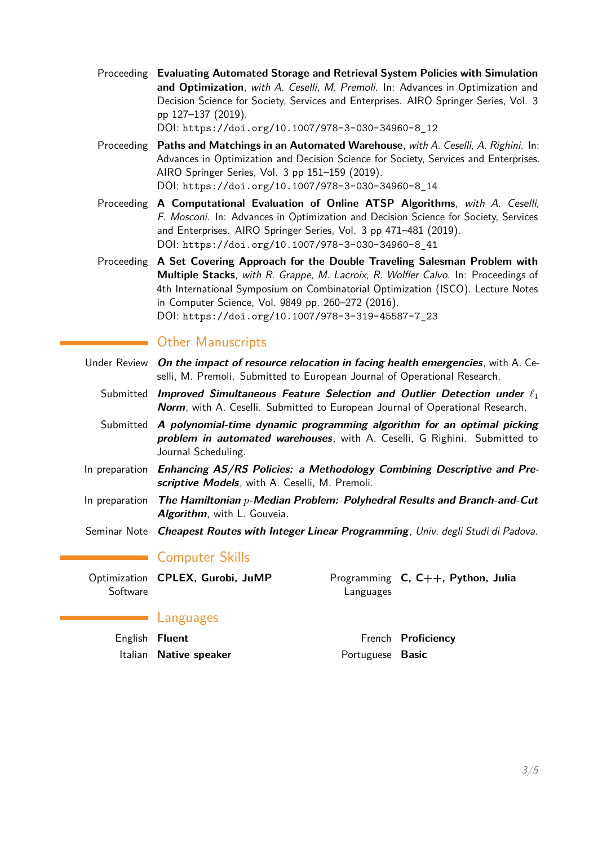- Proceeding **Evaluating Automated Storage and Retrieval System Policies with Simulation and Optimization**, with A. Ceselli, M. Premoli. In: Advances in Optimization and Decision Science for Society, Services and Enterprises. AIRO Springer Series, Vol. 3 pp 127–137 (2019). DOI: [https://doi.org/10.1007/978-3-030-34960-8\\_12](https://doi.org/10.1007/978-3-030-34960-8_12)
- Proceeding **Paths and Matchings in an Automated Warehouse**, with A. Ceselli, A. Righini. In: Advances in Optimization and Decision Science for Society, Services and Enterprises. AIRO Springer Series, Vol. 3 pp 151–159 (2019). DOI: [https://doi.org/10.1007/978-3-030-34960-8\\_14](https://doi.org/10.1007/978-3-030-34960-8_14)
- Proceeding **A Computational Evaluation of Online ATSP Algorithms**, with A. Ceselli, F. Mosconi. In: Advances in Optimization and Decision Science for Society, Services and Enterprises. AIRO Springer Series, Vol. 3 pp 471–481 (2019). DOI: [https://doi.org/10.1007/978-3-030-34960-8\\_41](https://doi.org/10.1007/978-3-030-34960-8_41)

Proceeding **A Set Covering Approach for the Double Traveling Salesman Problem with Multiple Stacks**, with R. Grappe, M. Lacroix, R. Wolfler Calvo. In: Proceedings of 4th International Symposium on Combinatorial Optimization (ISCO). Lecture Notes in Computer Science, Vol. 9849 pp. 260–272 (2016). DOI: [https://doi.org/10.1007/978-3-319-45587-7\\_23](https://doi.org/10.1007/978-3-319-45587-7_23)

# **Other Manuscripts**

- Under Review **On the impact of resource relocation in facing health emergencies**, with A. Ceselli, M. Premoli. Submitted to European Journal of Operational Research.
	- Submitted **Improved Simultaneous Feature Selection and Outlier Detection under** *`*<sup>1</sup> **Norm**, with A. Ceselli. Submitted to European Journal of Operational Research.
	- Submitted **A polynomial-time dynamic programming algorithm for an optimal picking problem in automated warehouses**, with A. Ceselli, G Righini. Submitted to Journal Scheduling.
- In preparation **Enhancing AS/RS Policies: a Methodology Combining Descriptive and Prescriptive Models**, with A. Ceselli, M. Premoli.
- In preparation **The Hamiltonian** *p***-Median Problem: Polyhedral Results and Branch-and-Cut Algorithm**, with L. Gouveia.
- Seminar Note **Cheapest Routes with Integer Linear Programming**, Univ. degli Studi di Padova.

# Computer Skills

Optimization **CPLEX, Gurobi, JuMP** Programming **Software** Languages **C, C++, Python, Julia**

### Languages

| English <b>Fluent</b> |                        |                         | French <b>Proficiency</b> |
|-----------------------|------------------------|-------------------------|---------------------------|
|                       | Italian Native speaker | Portuguese <b>Basic</b> |                           |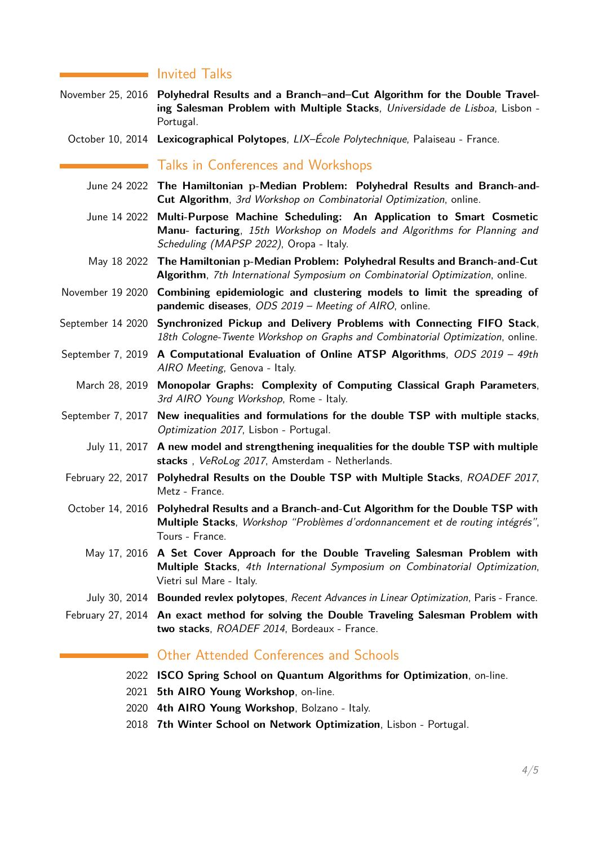## **I**nvited Talks

- November 25, 2016 **Polyhedral Results and a Branch–and–Cut Algorithm for the Double Traveling Salesman Problem with Multiple Stacks**, Universidade de Lisboa, Lisbon - Portugal.
	- October 10, 2014 **Lexicographical Polytopes**, LIX–École Polytechnique, Palaiseau France.

## Talks in Conferences and Workshops

- June 24 2022 **The Hamiltonian p-Median Problem: Polyhedral Results and Branch-and-Cut Algorithm**, 3rd Workshop on Combinatorial Optimization, online.
- June 14 2022 **Multi-Purpose Machine Scheduling: An Application to Smart Cosmetic Manu- facturing**, 15th Workshop on Models and Algorithms for Planning and Scheduling (MAPSP 2022), Oropa - Italy.
- May 18 2022 **The Hamiltonian p-Median Problem: Polyhedral Results and Branch-and-Cut Algorithm**, 7th International Symposium on Combinatorial Optimization, online.
- November 19 2020 **Combining epidemiologic and clustering models to limit the spreading of pandemic diseases**, ODS 2019 – Meeting of AIRO, online.
- September 14 2020 **Synchronized Pickup and Delivery Problems with Connecting FIFO Stack**, 18th Cologne-Twente Workshop on Graphs and Combinatorial Optimization, online.
- September 7, 2019 **A Computational Evaluation of Online ATSP Algorithms**, ODS 2019 49th AIRO Meeting, Genova - Italy.
	- March 28, 2019 **Monopolar Graphs: Complexity of Computing Classical Graph Parameters**, 3rd AIRO Young Workshop, Rome - Italy.
- September 7, 2017 **New inequalities and formulations for the double TSP with multiple stacks**, Optimization 2017, Lisbon - Portugal.
	- July 11, 2017 **A new model and strengthening inequalities for the double TSP with multiple stacks** , VeRoLog 2017, Amsterdam - Netherlands.
- February 22, 2017 **Polyhedral Results on the Double TSP with Multiple Stacks**, ROADEF 2017, Metz - France.
- October 14, 2016 **Polyhedral Results and a Branch-and-Cut Algorithm for the Double TSP with Multiple Stacks**, Workshop "Problèmes d'ordonnancement et de routing intégrés", Tours - France.
	- May 17, 2016 **A Set Cover Approach for the Double Traveling Salesman Problem with Multiple Stacks**, 4th International Symposium on Combinatorial Optimization, Vietri sul Mare - Italy.
	- July 30, 2014 **Bounded revlex polytopes**, Recent Advances in Linear Optimization, Paris France.
- February 27, 2014 **An exact method for solving the Double Traveling Salesman Problem with two stacks**, ROADEF 2014, Bordeaux - France.

## Other Attended Conferences and Schools

- 2022 **ISCO Spring School on Quantum Algorithms for Optimization**, on-line.
- 2021 **5th AIRO Young Workshop**, on-line.
- 2020 **4th AIRO Young Workshop**, Bolzano Italy.
- 2018 **7th Winter School on Network Optimization**, Lisbon Portugal.